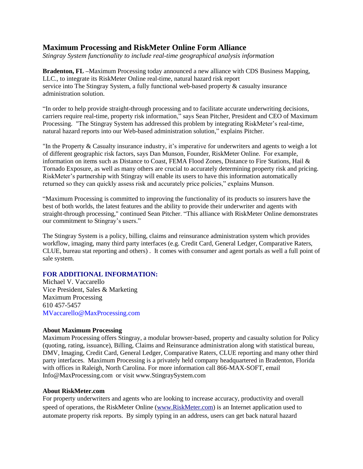## **Maximum Processing and RiskMeter Online Form Alliance**

*Stingray System functionality to include real-time geographical analysis information*

**Bradenton, FL –**Maximum Processing today announced a new alliance with CDS Business Mapping, LLC., to integrate its RiskMeter Online real-time, natural hazard risk report service into The Stingray System, a fully functional web-based property & casualty insurance administration solution.

"In order to help provide straight-through processing and to facilitate accurate underwriting decisions, carriers require real-time, property risk information," says Sean Pitcher, President and CEO of Maximum Processing. "The Stingray System has addressed this problem by integrating RiskMeter's real-time, natural hazard reports into our Web-based administration solution," explains Pitcher.

"In the Property & Casualty insurance industry, it's imperative for underwriters and agents to weigh a lot of different geographic risk factors, says Dan Munson, Founder, RiskMeter Online. For example, information on items such as Distance to Coast, FEMA Flood Zones, Distance to Fire Stations, Hail & Tornado Exposure, as well as many others are crucial to accurately determining property risk and pricing. RiskMeter's partnership with Stingray will enable its users to have this information automatically returned so they can quickly assess risk and accurately price policies," explains Munson.

"Maximum Processing is committed to improving the functionality of its products so insurers have the best of both worlds, the latest features and the ability to provide their underwriter and agents with straight-through processing," continued Sean Pitcher. "This alliance with RiskMeter Online demonstrates our commitment to Stingray's users."

The Stingray System is a policy, billing, claims and reinsurance administration system which provides workflow, imaging, many third party interfaces (e.g. Credit Card, General Ledger, Comparative Raters, CLUE, bureau stat reporting and others) . It comes with consumer and agent portals as well a full point of sale system.

## **FOR ADDITIONAL INFORMATION:**

Michael V. Vaccarello Vice President, Sales & Marketing Maximum Processing 610 457-5457 MVaccarello@MaxProcessing.com

## **About Maximum Processing**

Maximum Processing offers Stingray, a modular browser-based, property and casualty solution for Policy (quoting, rating, issuance), Billing, Claims and Reinsurance administration along with statistical bureau, DMV, Imaging, Credit Card, General Ledger, Comparative Raters, CLUE reporting and many other third party interfaces. Maximum Processing is a privately held company headquartered in Bradenton, Florida with offices in Raleigh, North Carolina. For more information call 866-MAX-SOFT, email Info@MaxProcessing.com or visit www.StingraySystem.com

## **About RiskMeter.com**

For property underwriters and agents who are looking to increase accuracy, productivity and overall speed of operations, the RiskMeter Online [\(www.RiskMeter.com\)](http://www.riskmeter.com/) is an Internet application used to automate property risk reports. By simply typing in an address, users can get back natural hazard